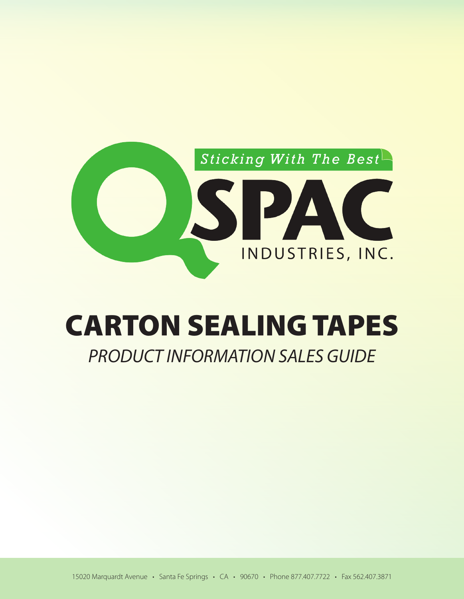

# CARTON SEALING TAPES

# *PRODUCT INFORMATION SALES GUIDE*

15020 Marquardt Avenue • Santa Fe Springs • CA • 90670 • Phone 877.407.7722 • Fax 562.407.3871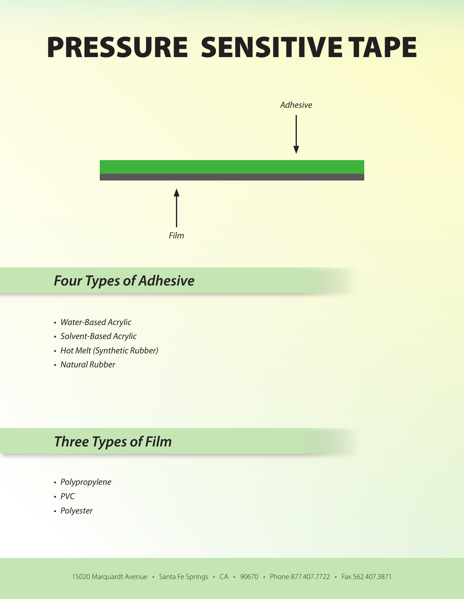# PRESSURE SENSITIVE TAPE



# *Four Types of Adhesive*

- *• Water-Based Acrylic*
- *• Solvent-Based Acrylic*
- *• Hot Melt (Synthetic Rubber)*
- *• Natural Rubber*

# *Three Types of Film*

- *• Polypropylene*
- *• PVC*
- *• Polyester*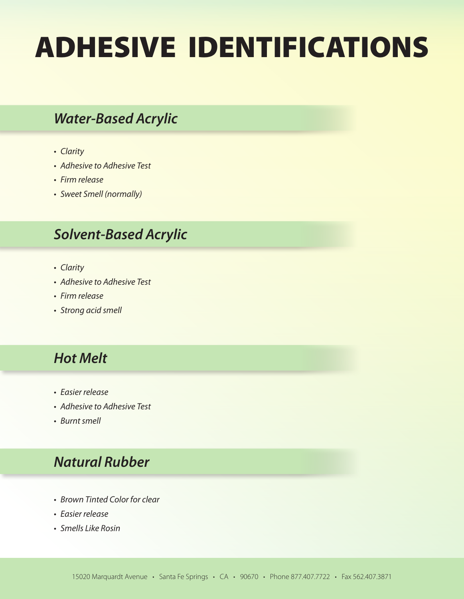# ADHESIVE IDENTIFICATIONS

## *Water-Based Acrylic*

- *• Clarity*
- *• Adhesive to Adhesive Test*
- *• Firm release*
- *• Sweet Smell (normally)*

# *Solvent-Based Acrylic*

- *• Clarity*
- *• Adhesive to Adhesive Test*
- *• Firm release*
- *• Strong acid smell*

# *Hot Melt*

- *• Easier release*
- *• Adhesive to Adhesive Test*
- *• Burnt smell*

# *Natural Rubber*

- *• Brown Tinted Color for clear*
- *• Easier release*
- *• Smells Like Rosin*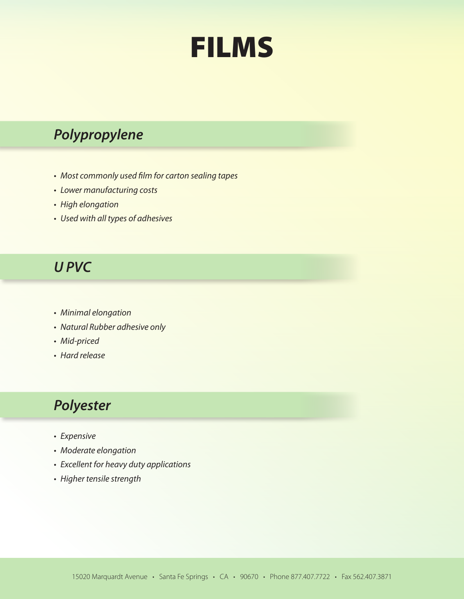

# *Polypropylene*

- *• Most commonly used film for carton sealing tapes*
- *• Lower manufacturing costs*
- *• High elongation*
- *• Used with all types of adhesives*

### *U PVC*

- *• Minimal elongation*
- *• Natural Rubber adhesive only*
- *• Mid-priced*
- *• Hard release*

# *Polyester*

- *• Expensive*
- *• Moderate elongation*
- *• Excellent for heavy duty applications*
- *• Higher tensile strength*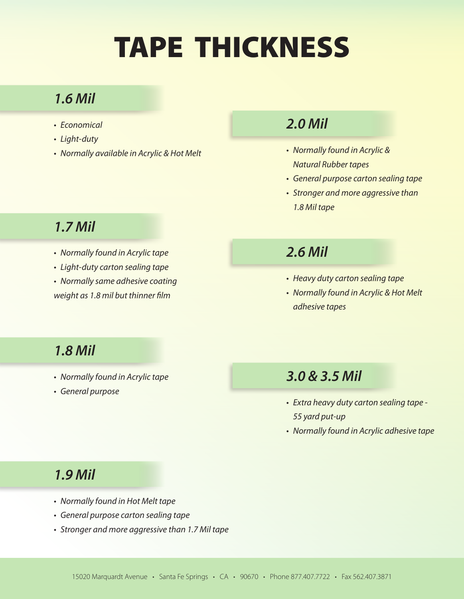# TAPE THICKNESS

# *1.6 Mil*

- *• Economical*
- *• Light-duty*
- *• Normally available in Acrylic & Hot Melt • Normally found in Acrylic &*

### *2.0 Mil*

- *Natural Rubber tapes*
- *• General purpose carton sealing tape*
- *• Stronger and more aggressive than 1.8 Mil tape*

# *1.7 Mil*

- *• Normally found in Acrylic tape*
- *• Light-duty carton sealing tape*

*• Normally same adhesive coating weight as 1.8 mil but thinner film*

# *2.6 Mil*

- *• Heavy duty carton sealing tape*
- *• Normally found in Acrylic & Hot Melt adhesive tapes*

# *1.8 Mil*

- *• Normally found in Acrylic tape*
- *• General purpose*

### *3.0 & 3.5 Mil*

- *• Extra heavy duty carton sealing tape 55 yard put-up*
- *• Normally found in Acrylic adhesive tape*

# *1.9 Mil*

- *• Normally found in Hot Melt tape*
- *• General purpose carton sealing tape*
- *• Stronger and more aggressive than 1.7 Mil tape*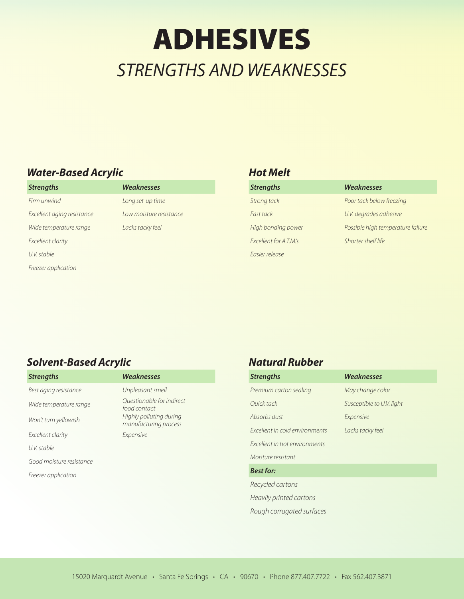# ADHESIVES *STRENGTHS AND WEAKNESSES*

#### *Water-Based Acrylic*

*Strengths Weaknesses Firm unwind Long set-up time Excellent aging resistance Low moisture resistance Wide temperature range Lacks tacky feel Excellent clarity U.V. stable Freezer application*

#### *Hot Melt*

| <b>Strengths</b>                     | Weaknesses                        |
|--------------------------------------|-----------------------------------|
| Strong tack                          | Poor tack below freezing          |
| Fast tack                            | U.V. degrades adhesive            |
| High bonding power                   | Possible high temperature failure |
| <i><b>Excellent for A.T.M.'s</b></i> | Shorter shelf life                |
| Easier release                       |                                   |

#### *Solvent-Based Acrylic*

| <b>Strengths</b>         | <b>Weaknesses</b>                                |
|--------------------------|--------------------------------------------------|
| Best aging resistance    | Unpleasant smell                                 |
| Wide temperature range   | Ouestionable for indirect<br>food contact        |
| Won't turn yellowish     | Highly polluting during<br>manufacturing process |
| Excellent clarity        | Expensive                                        |
| U.V. stable              |                                                  |
| Good moisture resistance |                                                  |
| Freezer application      |                                                  |

#### *Natural Rubber*

| <b>Strengths</b>               | <b>Weaknesses</b>         |
|--------------------------------|---------------------------|
| Premium carton sealing         | May change color          |
| Ouick tack                     | Susceptible to U.V. light |
| Absorbs dust                   | Expensive                 |
| Excellent in cold environments | Lacks tacky feel          |
| Excellent in hot environments  |                           |
| Moisture resistant             |                           |
| <b>Best for:</b>               |                           |
| Recycled cartons               |                           |

*Heavily printed cartons*

*Rough corrugated surfaces*